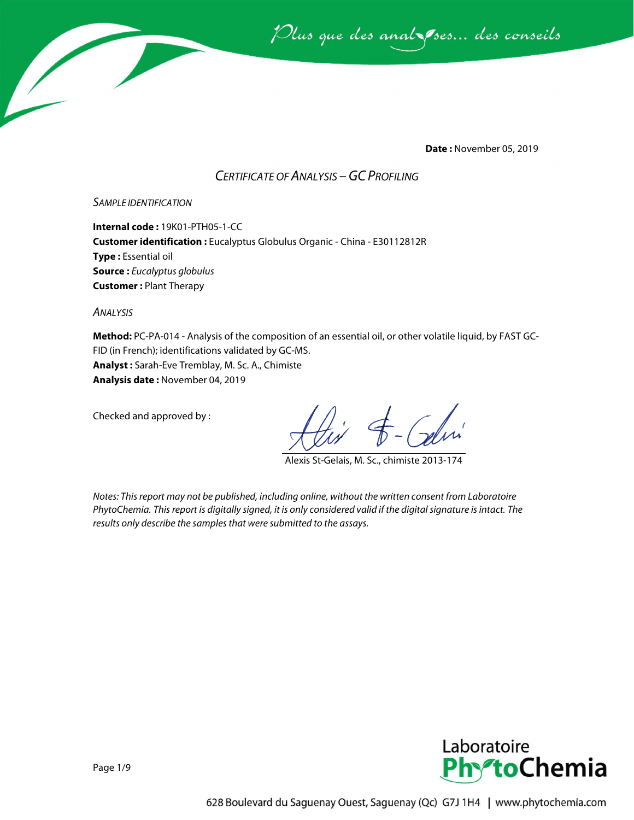Plus que des anal ses... des conseils

**Date :** November 05, 2019

## *CERTIFICATE OF ANALYSIS –GC PROFILING*

#### *SAMPLE IDENTIFICATION*

**Internal code :** 19K01-PTH05-1-CC **Customer identification :** Eucalyptus Globulus Organic - China - E30112812R **Type :** Essential oil **Source :** *Eucalyptus globulus* **Customer :** Plant Therapy

*ANALYSIS*

**Method:** PC-PA-014 - Analysis of the composition of an essential oil, or other volatile liquid, by FAST GC-FID (in French); identifications validated by GC-MS. **Analyst :** Sarah-Eve Tremblay, M. Sc. A., Chimiste **Analysis date :** November 04, 2019

Checked and approved by :

Alexis St-Gelais, M. Sc., chimiste 2013-174

*Notes: This report may not be published, including online, without the written consent from Laboratoire PhytoChemia. This report is digitally signed, it is only considered valid if the digital signature is intact. The results only describe the samples that were submitted to the assays.*

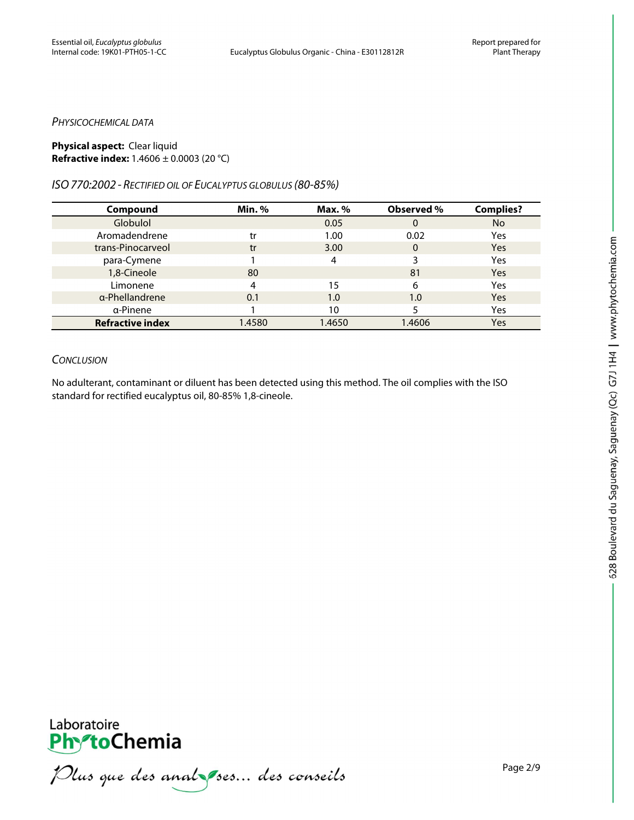#### *PHYSICOCHEMICAL DATA*

#### **Physical aspect:** Clear liquid **Refractive index:** 1.4606 ± 0.0003 (20 °C)

### *ISO770:2002 - RECTIFIED OIL OF EUCALYPTUS GLOBULUS (80-85%)*

| Compound                | <b>Min.</b> % | Max. % | Observed %   | <b>Complies?</b> |
|-------------------------|---------------|--------|--------------|------------------|
| Globulol                |               | 0.05   | 0            | <b>No</b>        |
| Aromadendrene           | tr            | 1.00   | 0.02         | Yes              |
| trans-Pinocarveol       | tr            | 3.00   | $\mathbf{0}$ | Yes              |
| para-Cymene             |               | Λ      | 3            | Yes              |
| 1,8-Cineole             | 80            |        | 81           | <b>Yes</b>       |
| Limonene                | 4             | 15     | 6            | Yes              |
| a-Phellandrene          | 0.1           | 1.0    | 1.0          | Yes              |
| α-Pinene                |               | 10     |              | Yes              |
| <b>Refractive index</b> | 1.4580        | 1.4650 | 1.4606       | Yes              |

## *CONCLUSION*

No adulterant, contaminant or diluent has been detected using this method. The oil complies with the ISO standard for rectified eucalyptus oil, 80-85% 1,8-cineole.

**PhytoChemia**<br>*PhytoChemia*<br>*Plus que des analyses... des conseils*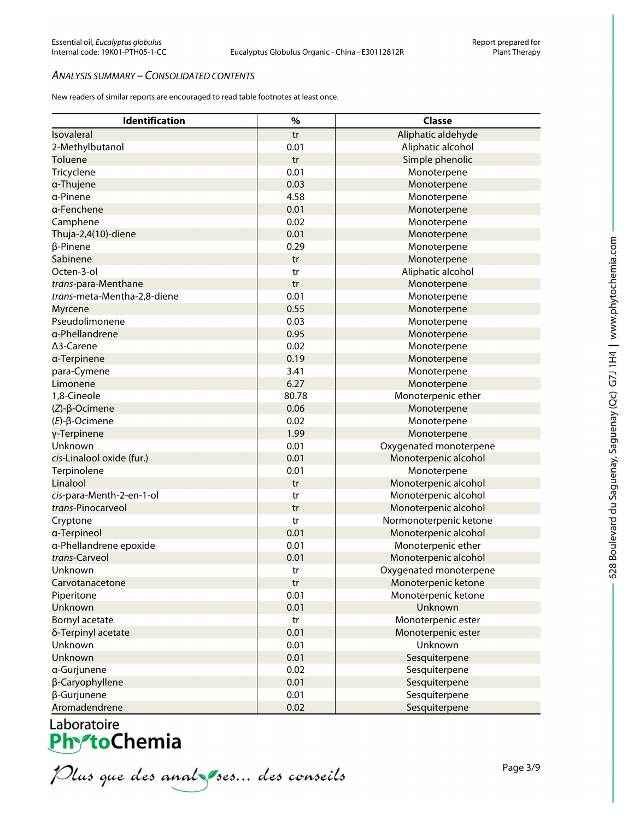#### *ANALYSIS SUMMARY – CONSOLIDATED CONTENTS*

New readers of similar reports are encouraged to read table footnotes at least once.

| Identification              | $\%$  | Classe                 |
|-----------------------------|-------|------------------------|
| Isovaleral                  | tr    | Aliphatic aldehyde     |
| 2-Methylbutanol             | 0.01  | Aliphatic alcohol      |
| <b>Toluene</b>              | tr    | Simple phenolic        |
| Tricyclene                  | 0.01  | Monoterpene            |
| a-Thujene                   | 0.03  | Monoterpene            |
| a-Pinene                    | 4.58  | Monoterpene            |
| a-Fenchene                  | 0.01  | Monoterpene            |
| Camphene                    | 0.02  | Monoterpene            |
| Thuja-2,4(10)-diene         | 0.01  | Monoterpene            |
| β-Pinene                    | 0.29  | Monoterpene            |
| Sabinene                    | tr    | Monoterpene            |
| Octen-3-ol                  | tr    | Aliphatic alcohol      |
| trans-para-Menthane         | tr    | Monoterpene            |
| trans-meta-Mentha-2,8-diene | 0.01  | Monoterpene            |
| <b>Myrcene</b>              | 0.55  | Monoterpene            |
| Pseudolimonene              | 0.03  | Monoterpene            |
| a-Phellandrene              | 0.95  | Monoterpene            |
| $\Delta$ 3-Carene           | 0.02  | Monoterpene            |
| a-Terpinene                 | 0.19  | Monoterpene            |
| para-Cymene                 | 3.41  | Monoterpene            |
| Limonene                    | 6.27  | Monoterpene            |
| 1,8-Cineole                 | 80.78 | Monoterpenic ether     |
| $(Z)$ - $\beta$ -Ocimene    | 0.06  | Monoterpene            |
| $(E)-\beta$ -Ocimene        | 0.02  | Monoterpene            |
| γ-Terpinene                 | 1.99  | Monoterpene            |
| Unknown                     | 0.01  | Oxygenated monoterpene |
| cis-Linalool oxide (fur.)   | 0.01  | Monoterpenic alcohol   |
| Terpinolene                 | 0.01  | Monoterpene            |
| Linalool                    | tr    | Monoterpenic alcohol   |
| cis-para-Menth-2-en-1-ol    | tr    | Monoterpenic alcohol   |
| trans-Pinocarveol           | tr    | Monoterpenic alcohol   |
| Cryptone                    | tr    | Normonoterpenic ketone |
| a-Terpineol                 | 0.01  | Monoterpenic alcohol   |
| a-Phellandrene epoxide      | 0.01  | Monoterpenic ether     |
| trans-Carveol               | 0.01  | Monoterpenic alcohol   |
| Unknown                     | tr    | Oxygenated monoterpene |
| Carvotanacetone             | tr    | Monoterpenic ketone    |
| Piperitone                  | 0.01  | Monoterpenic ketone    |
| Unknown                     | 0.01  | Unknown                |
| Bornyl acetate              | tr    | Monoterpenic ester     |
| δ-Terpinyl acetate          | 0.01  | Monoterpenic ester     |
| Unknown                     | 0.01  | Unknown                |
| Unknown                     | 0.01  | Sesquiterpene          |
| a-Gurjunene                 | 0.02  | Sesquiterpene          |
| β-Caryophyllene             | 0.01  | Sesquiterpene          |
| β-Gurjunene                 | 0.01  | Sesquiterpene          |
| Aromadendrene               | 0.02  | Sesquiterpene          |

Laboratoire<br>**PhytoChemia**<br>*Plus que des analyses... des conseils* 

Page 3/9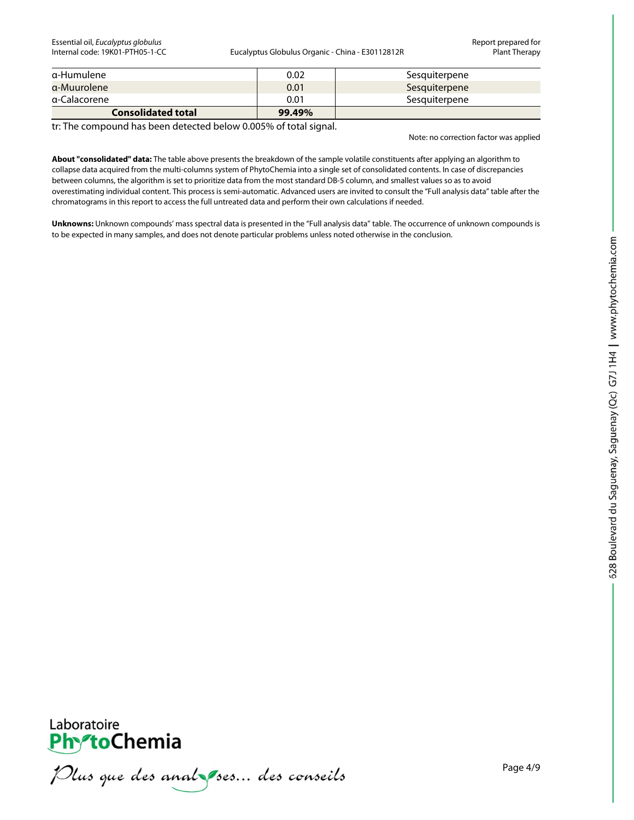Essential oil, *Eucalyptus globulus* Report prepared for

Eucalyptus Globulus Organic - China - E30112812R Plant Therapy

| a-Humulene                | 0.02   | Sesquiterpene |
|---------------------------|--------|---------------|
| a-Muurolene               | 0.01   | Sesquiterpene |
| a-Calacorene              | 0.01   | Sesquiterpene |
| <b>Consolidated total</b> | 99.49% |               |

tr: The compound has been detected below 0.005% of total signal.

Note: no correction factor was applied

**About "consolidated" data:** The table above presents the breakdown of the sample volatile constituents after applying an algorithm to collapse data acquired from the multi-columns system of PhytoChemia into a single set of consolidated contents. In case of discrepancies between columns, the algorithm is set to prioritize data from the most standard DB-5 column, and smallest values so as to avoid overestimating individual content. This process is semi-automatic. Advanced users are invited to consult the "Full analysis data" table after the chromatograms in this report to access the full untreated data and perform their own calculations if needed.

**Unknowns:** Unknown compounds' mass spectral data is presented in the "Full analysis data" table. The occurrence of unknown compounds is to be expected in many samples, and does not denote particular problems unless noted otherwise in the conclusion.



Plus que des analzes... des conseils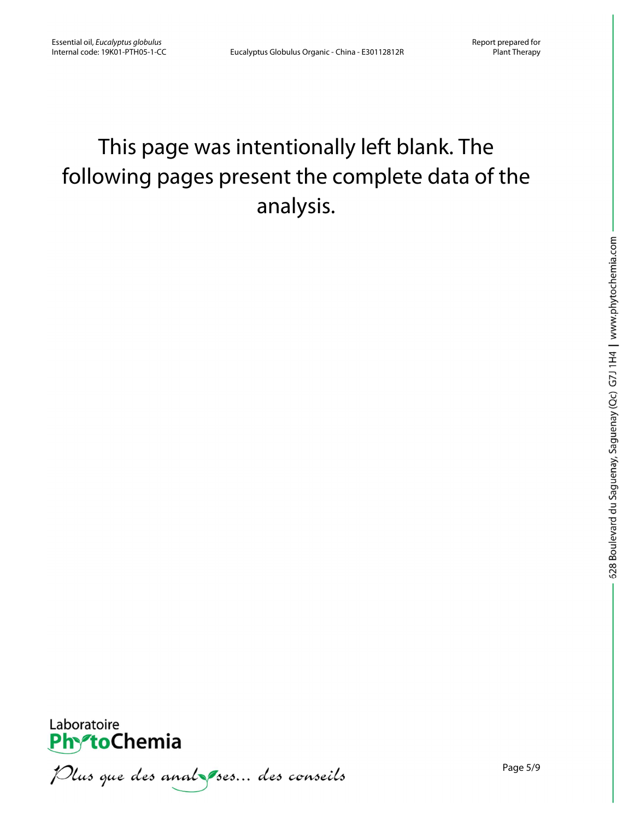# This page was intentionally left blank. The following pages present the complete data of the analysis.



Plus que des analzes... des conseils

Page 5/9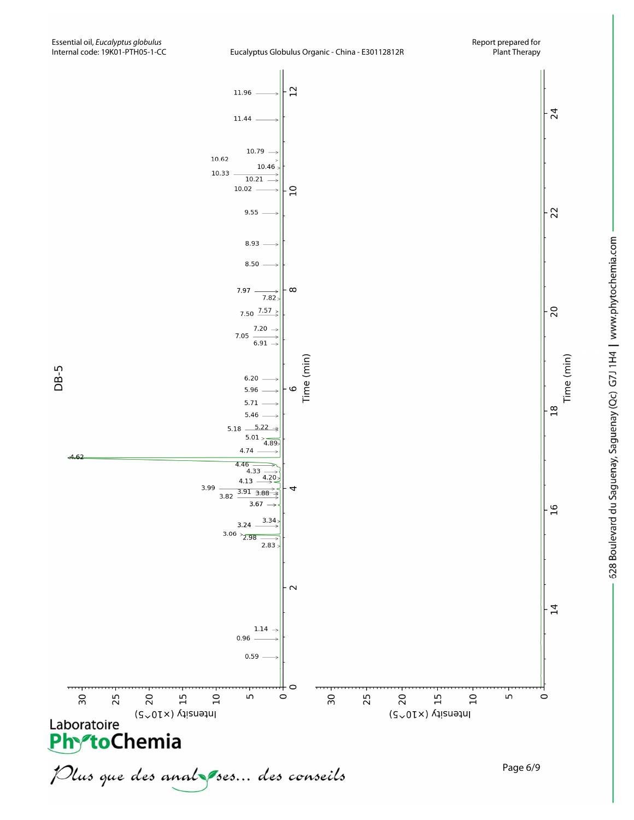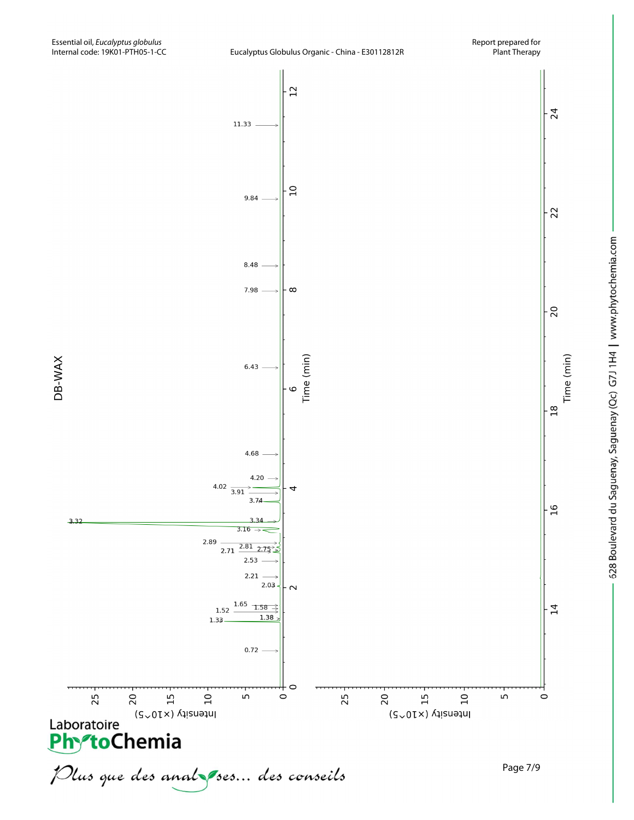



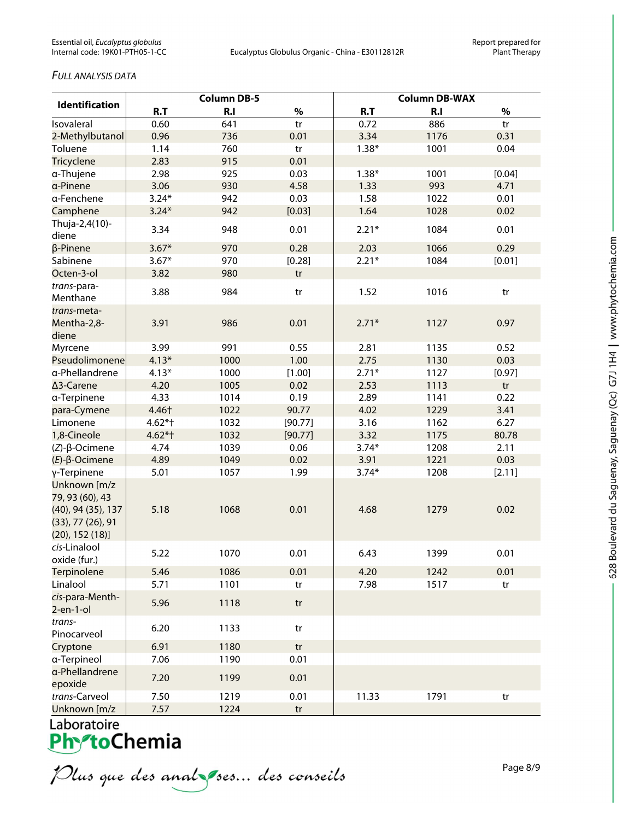## *FULL ANALYSIS DATA*

| <b>Identification</b>                                                  | <b>Column DB-5</b> |      |         | <b>Column DB-WAX</b> |      |        |  |
|------------------------------------------------------------------------|--------------------|------|---------|----------------------|------|--------|--|
|                                                                        | R.T                | R.I  | $\%$    | R.T                  | R.I  | $\%$   |  |
| Isovaleral                                                             | 0.60               | 641  | tr      | 0.72                 | 886  | tr     |  |
| 2-Methylbutanol                                                        | 0.96               | 736  | 0.01    | 3.34                 | 1176 | 0.31   |  |
| Toluene                                                                | 1.14               | 760  | tr      | $1.38*$              | 1001 | 0.04   |  |
| Tricyclene                                                             | 2.83               | 915  | 0.01    |                      |      |        |  |
| α-Thujene                                                              | 2.98               | 925  | 0.03    | $1.38*$              | 1001 | [0.04] |  |
| a-Pinene                                                               | 3.06               | 930  | 4.58    | 1.33                 | 993  | 4.71   |  |
| a-Fenchene                                                             | $3.24*$            | 942  | 0.03    | 1.58                 | 1022 | 0.01   |  |
| Camphene                                                               | $3.24*$            | 942  | [0.03]  | 1.64                 | 1028 | 0.02   |  |
| Thuja-2,4(10)-<br>diene                                                | 3.34               | 948  | 0.01    | $2.21*$              | 1084 | 0.01   |  |
| β-Pinene                                                               | $3.67*$            | 970  | 0.28    | 2.03                 | 1066 | 0.29   |  |
| Sabinene                                                               | $3.67*$            | 970  | [0.28]  | $2.21*$              | 1084 | [0.01] |  |
| Octen-3-ol                                                             | 3.82               | 980  | tr      |                      |      |        |  |
| trans-para-<br>Menthane                                                | 3.88               | 984  | tr      | 1.52                 | 1016 | tr     |  |
| trans-meta-<br>Mentha-2,8-<br>diene                                    | 3.91               | 986  | 0.01    | $2.71*$              | 1127 | 0.97   |  |
| Myrcene                                                                | 3.99               | 991  | 0.55    | 2.81                 | 1135 | 0.52   |  |
| Pseudolimonene                                                         | $4.13*$            | 1000 | 1.00    | 2.75                 | 1130 | 0.03   |  |
| a-Phellandrene                                                         | $4.13*$            | 1000 | [1.00]  | $2.71*$              | 1127 | [0.97] |  |
| ∆3-Carene                                                              | 4.20               | 1005 | 0.02    | 2.53                 | 1113 | tr     |  |
| a-Terpinene                                                            | 4.33               | 1014 | 0.19    | 2.89                 | 1141 | 0.22   |  |
| para-Cymene                                                            | 4.46†              | 1022 | 90.77   | 4.02                 | 1229 | 3.41   |  |
| Limonene                                                               | $4.62*$ †          | 1032 | [90.77] | 3.16                 | 1162 | 6.27   |  |
| 1,8-Cineole                                                            | $4.62*$ †          | 1032 | [90.77] | 3.32                 | 1175 | 80.78  |  |
| $(Z)$ -β-Ocimene                                                       | 4.74               | 1039 | 0.06    | $3.74*$              | 1208 | 2.11   |  |
| $(E)$ -β-Ocimene                                                       | 4.89               | 1049 | 0.02    | 3.91                 | 1221 | 0.03   |  |
| γ-Terpinene<br>Unknown [m/z<br>79, 93 (60), 43                         | 5.01               | 1057 | 1.99    | $3.74*$              | 1208 | [2.11] |  |
| (40), 94 (35), 137<br>$(33)$ , 77 $(26)$ , 91<br>$(20)$ , 152 $(18)$ ] | 5.18               | 1068 | 0.01    | 4.68                 | 1279 | 0.02   |  |
| cis-Linalool<br>oxide (fur.)                                           | 5.22               | 1070 | 0.01    | 6.43                 | 1399 | 0.01   |  |
| Terpinolene                                                            | 5.46               | 1086 | 0.01    | 4.20                 | 1242 | 0.01   |  |
| Linalool                                                               | 5.71               | 1101 | tr      | 7.98                 | 1517 | tr     |  |
| cis-para-Menth-<br>$2$ -en-1-ol                                        | 5.96               | 1118 | tr      |                      |      |        |  |
| trans-<br>Pinocarveol                                                  | 6.20               | 1133 | tr      |                      |      |        |  |
| Cryptone                                                               | 6.91               | 1180 | tr      |                      |      |        |  |
| a-Terpineol                                                            | 7.06               | 1190 | 0.01    |                      |      |        |  |
| a-Phellandrene<br>epoxide                                              | 7.20               | 1199 | 0.01    |                      |      |        |  |
| trans-Carveol                                                          | 7.50               | 1219 | 0.01    | 11.33                | 1791 | tr     |  |
| Unknown $\lceil m/z \rceil$                                            | 757                | 1224 | tr      |                      |      |        |  |

Laboratoire<br>**Phy<sup>z</sup>toChemia** 

Plus que des analzes... des conseils

Page 8/9